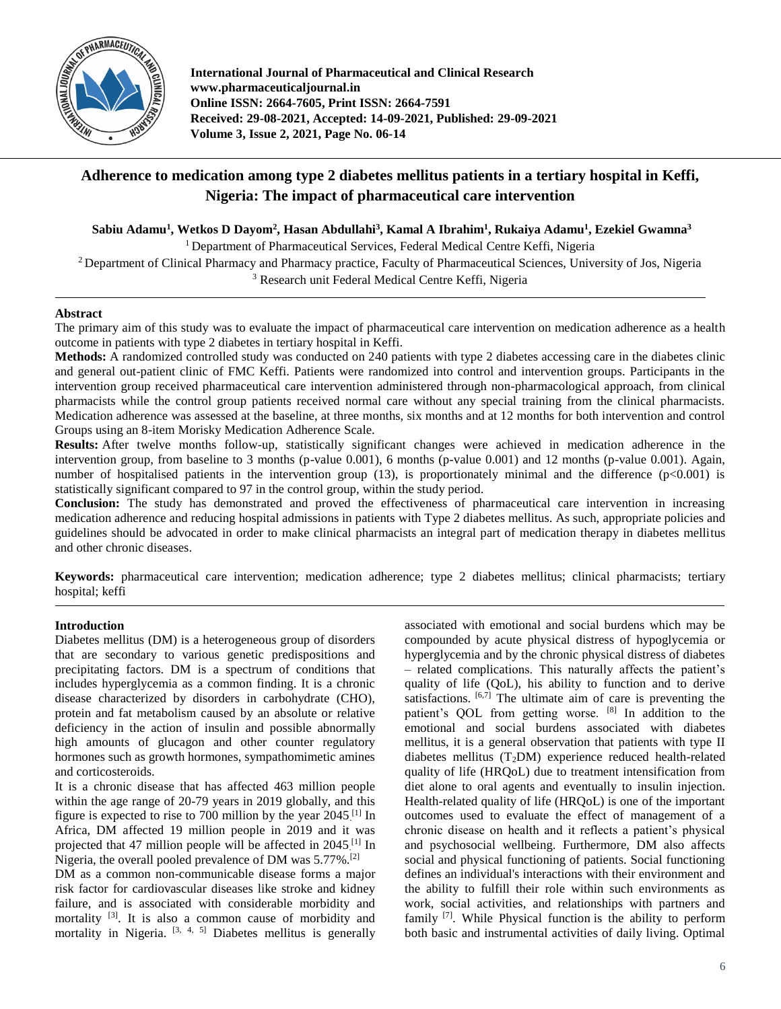

**International Journal of Pharmaceutical and Clinical Research www.pharmaceuticaljournal.in Online ISSN: 2664-7605, Print ISSN: 2664-7591 Received: 29-08-2021, Accepted: 14-09-2021, Published: 29-09-2021 Volume 3, Issue 2, 2021, Page No. 06-14**

# **Adherence to medication among type 2 diabetes mellitus patients in a tertiary hospital in Keffi, Nigeria: The impact of pharmaceutical care intervention**

**Sabiu Adamu<sup>1</sup> , Wetkos D Dayom<sup>2</sup> , Hasan Abdullahi<sup>3</sup> , Kamal A Ibrahim<sup>1</sup> , Rukaiya Adamu<sup>1</sup> , Ezekiel Gwamna<sup>3</sup>**

<sup>1</sup> Department of Pharmaceutical Services, Federal Medical Centre Keffi, Nigeria

<sup>2</sup> Department of Clinical Pharmacy and Pharmacy practice, Faculty of Pharmaceutical Sciences, University of Jos, Nigeria <sup>3</sup> Research unit Federal Medical Centre Keffi, Nigeria

#### **Abstract**

The primary aim of this study was to evaluate the impact of pharmaceutical care intervention on medication adherence as a health outcome in patients with type 2 diabetes in tertiary hospital in Keffi.

**Methods:** A randomized controlled study was conducted on 240 patients with type 2 diabetes accessing care in the diabetes clinic and general out-patient clinic of FMC Keffi. Patients were randomized into control and intervention groups. Participants in the intervention group received pharmaceutical care intervention administered through non-pharmacological approach, from clinical pharmacists while the control group patients received normal care without any special training from the clinical pharmacists. Medication adherence was assessed at the baseline, at three months, six months and at 12 months for both intervention and control Groups using an 8-item Morisky Medication Adherence Scale.

**Results:** After twelve months follow-up, statistically significant changes were achieved in medication adherence in the intervention group, from baseline to 3 months (p-value 0.001), 6 months (p-value 0.001) and 12 months (p-value 0.001). Again, number of hospitalised patients in the intervention group  $(13)$ , is proportionately minimal and the difference  $(p<0.001)$  is statistically significant compared to 97 in the control group, within the study period.

**Conclusion:** The study has demonstrated and proved the effectiveness of pharmaceutical care intervention in increasing medication adherence and reducing hospital admissions in patients with Type 2 diabetes mellitus. As such, appropriate policies and guidelines should be advocated in order to make clinical pharmacists an integral part of medication therapy in diabetes mellitus and other chronic diseases.

**Keywords:** pharmaceutical care intervention; medication adherence; type 2 diabetes mellitus; clinical pharmacists; tertiary hospital; keffi

#### **Introduction**

Diabetes mellitus (DM) is a heterogeneous group of disorders that are secondary to various genetic predispositions and precipitating factors. DM is a spectrum of conditions that includes hyperglycemia as a common finding. It is a chronic disease characterized by disorders in carbohydrate (CHO), protein and fat metabolism caused by an absolute or relative deficiency in the action of insulin and possible abnormally high amounts of glucagon and other counter regulatory hormones such as growth hormones, sympathomimetic amines and corticosteroids.

It is a chronic disease that has affected 463 million people within the age range of 20-79 years in 2019 globally, and this figure is expected to rise to 700 million by the year 2045. [1] In Africa, DM affected 19 million people in 2019 and it was projected that 47 million people will be affected in 2045.<sup>[1]</sup> In Nigeria, the overall pooled prevalence of DM was 5.77%.[2]

DM as a common non-communicable disease forms a major risk factor for cardiovascular diseases like stroke and kidney failure, and is associated with considerable morbidity and mortality [3]. It is also a common cause of morbidity and mortality in Nigeria.  $[3, 4, 5]$  Diabetes mellitus is generally

associated with emotional and social burdens which may be compounded by acute physical distress of hypoglycemia or hyperglycemia and by the chronic physical distress of diabetes – related complications. This naturally affects the patient's quality of life (QoL), his ability to function and to derive satisfactions.  $[6,7]$  The ultimate aim of care is preventing the patient's QOL from getting worse. [8] In addition to the emotional and social burdens associated with diabetes mellitus, it is a general observation that patients with type II diabetes mellitus  $(T_2DM)$  experience reduced health-related quality of life (HRQoL) due to treatment intensification from diet alone to oral agents and eventually to insulin injection. Health-related quality of life (HRQoL) is one of the important outcomes used to evaluate the effect of management of a chronic disease on health and it reflects a patient's physical and psychosocial wellbeing. Furthermore, DM also affects social and physical functioning of patients. Social functioning defines an individual's interactions with their environment and the ability to fulfill their role within such environments as work, social activities, and relationships with partners and family <sup>[7]</sup>. While Physical function is the ability to perform both basic and instrumental activities of daily living. Optimal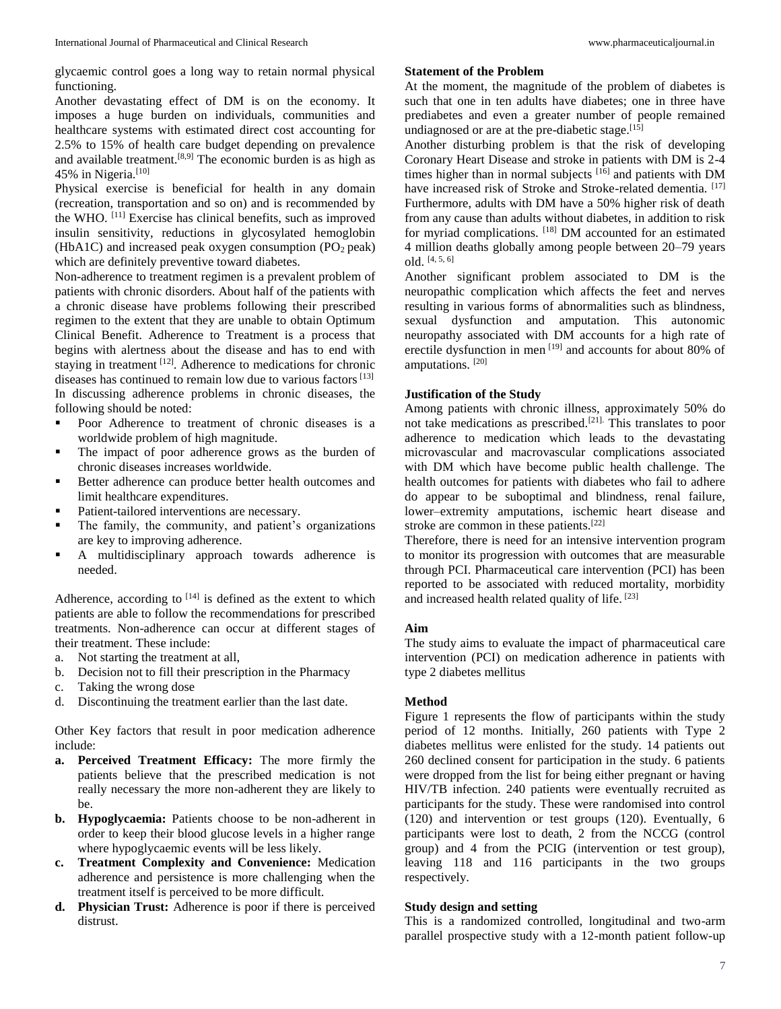glycaemic control goes a long way to retain normal physical functioning.

Another devastating effect of DM is on the economy. It imposes a huge burden on individuals, communities and healthcare systems with estimated direct cost accounting for 2.5% to 15% of health care budget depending on prevalence and available treatment.<sup>[8,9]</sup> The economic burden is as high as 45% in Nigeria.<sup>[10]</sup>

Physical exercise is beneficial for health in any domain (recreation, transportation and so on) and is recommended by the WHO. [11] Exercise has clinical benefits, such as improved insulin sensitivity, reductions in glycosylated hemoglobin (HbA1C) and increased peak oxygen consumption  $(PO<sub>2</sub> peak)$ which are definitely preventive toward diabetes.

Non-adherence to treatment regimen is a prevalent problem of patients with chronic disorders. About half of the patients with a chronic disease have problems following their prescribed regimen to the extent that they are unable to obtain Optimum Clinical Benefit. Adherence to Treatment is a process that begins with alertness about the disease and has to end with staying in treatment [12]. Adherence to medications for chronic diseases has continued to remain low due to various factors [13] In discussing adherence problems in chronic diseases, the following should be noted:

- Poor Adherence to treatment of chronic diseases is a worldwide problem of high magnitude.
- **The impact of poor adherence grows as the burden of** chronic diseases increases worldwide.
- Better adherence can produce better health outcomes and limit healthcare expenditures.
- Patient-tailored interventions are necessary.
- The family, the community, and patient's organizations are key to improving adherence.
- A multidisciplinary approach towards adherence is needed.

Adherence, according to  $[14]$  is defined as the extent to which patients are able to follow the recommendations for prescribed treatments. Non-adherence can occur at different stages of their treatment. These include:

- a. Not starting the treatment at all,
- b. Decision not to fill their prescription in the Pharmacy
- c. Taking the wrong dose
- d. Discontinuing the treatment earlier than the last date.

Other Key factors that result in poor medication adherence include:

- **a. Perceived Treatment Efficacy:** The more firmly the patients believe that the prescribed medication is not really necessary the more non-adherent they are likely to be.
- **b. Hypoglycaemia:** Patients choose to be non-adherent in order to keep their blood glucose levels in a higher range where hypoglycaemic events will be less likely.
- **c. Treatment Complexity and Convenience:** Medication adherence and persistence is more challenging when the treatment itself is perceived to be more difficult.
- **d. Physician Trust:** Adherence is poor if there is perceived distrust.

# **Statement of the Problem**

At the moment, the magnitude of the problem of diabetes is such that one in ten adults have diabetes; one in three have prediabetes and even a greater number of people remained undiagnosed or are at the pre-diabetic stage. $[15]$ 

Another disturbing problem is that the risk of developing Coronary Heart Disease and stroke in patients with DM is 2-4 times higher than in normal subjects [16] and patients with DM have increased risk of Stroke and Stroke-related dementia. [17] Furthermore, adults with DM have a 50% higher risk of death from any cause than adults without diabetes, in addition to risk for myriad complications. [18] DM accounted for an estimated 4 million deaths globally among people between 20–79 years old. [4, 5, 6]

Another significant problem associated to DM is the neuropathic complication which affects the feet and nerves resulting in various forms of abnormalities such as blindness, sexual dysfunction and amputation. This autonomic neuropathy associated with DM accounts for a high rate of erectile dysfunction in men [19] and accounts for about 80% of amputations. [20]

# **Justification of the Study**

Among patients with chronic illness, approximately 50% do not take medications as prescribed.[21]. This translates to poor adherence to medication which leads to the devastating microvascular and macrovascular complications associated with DM which have become public health challenge. The health outcomes for patients with diabetes who fail to adhere do appear to be suboptimal and blindness, renal failure, lower–extremity amputations, ischemic heart disease and stroke are common in these patients.[22]

Therefore, there is need for an intensive intervention program to monitor its progression with outcomes that are measurable through PCI. Pharmaceutical care intervention (PCI) has been reported to be associated with reduced mortality, morbidity and increased health related quality of life. [23]

#### **Aim**

The study aims to evaluate the impact of pharmaceutical care intervention (PCI) on medication adherence in patients with type 2 diabetes mellitus

# **Method**

Figure 1 represents the flow of participants within the study period of 12 months. Initially, 260 patients with Type 2 diabetes mellitus were enlisted for the study. 14 patients out 260 declined consent for participation in the study. 6 patients were dropped from the list for being either pregnant or having HIV/TB infection. 240 patients were eventually recruited as participants for the study. These were randomised into control (120) and intervention or test groups (120). Eventually, 6 participants were lost to death, 2 from the NCCG (control group) and 4 from the PCIG (intervention or test group), leaving 118 and 116 participants in the two groups respectively.

#### **Study design and setting**

This is a randomized controlled, longitudinal and two-arm parallel prospective study with a 12-month patient follow-up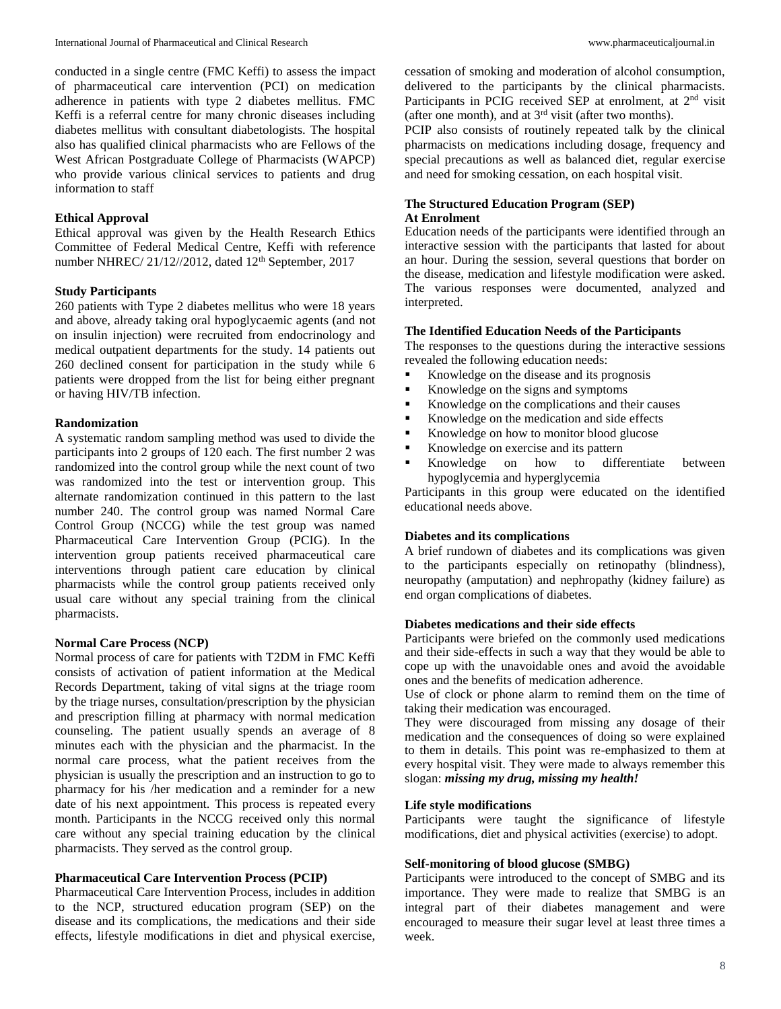conducted in a single centre (FMC Keffi) to assess the impact of pharmaceutical care intervention (PCI) on medication adherence in patients with type 2 diabetes mellitus. FMC Keffi is a referral centre for many chronic diseases including diabetes mellitus with consultant diabetologists. The hospital also has qualified clinical pharmacists who are Fellows of the West African Postgraduate College of Pharmacists (WAPCP) who provide various clinical services to patients and drug information to staff

### **Ethical Approval**

Ethical approval was given by the Health Research Ethics Committee of Federal Medical Centre, Keffi with reference number NHREC/ 21/12//2012, dated 12<sup>th</sup> September, 2017

#### **Study Participants**

260 patients with Type 2 diabetes mellitus who were 18 years and above, already taking oral hypoglycaemic agents (and not on insulin injection) were recruited from endocrinology and medical outpatient departments for the study. 14 patients out 260 declined consent for participation in the study while 6 patients were dropped from the list for being either pregnant or having HIV/TB infection.

#### **Randomization**

A systematic random sampling method was used to divide the participants into 2 groups of 120 each. The first number 2 was randomized into the control group while the next count of two was randomized into the test or intervention group. This alternate randomization continued in this pattern to the last number 240. The control group was named Normal Care Control Group (NCCG) while the test group was named Pharmaceutical Care Intervention Group (PCIG). In the intervention group patients received pharmaceutical care interventions through patient care education by clinical pharmacists while the control group patients received only usual care without any special training from the clinical pharmacists.

#### **Normal Care Process (NCP)**

Normal process of care for patients with T2DM in FMC Keffi consists of activation of patient information at the Medical Records Department, taking of vital signs at the triage room by the triage nurses, consultation/prescription by the physician and prescription filling at pharmacy with normal medication counseling. The patient usually spends an average of 8 minutes each with the physician and the pharmacist. In the normal care process, what the patient receives from the physician is usually the prescription and an instruction to go to pharmacy for his /her medication and a reminder for a new date of his next appointment. This process is repeated every month. Participants in the NCCG received only this normal care without any special training education by the clinical pharmacists. They served as the control group.

#### **Pharmaceutical Care Intervention Process (PCIP)**

Pharmaceutical Care Intervention Process, includes in addition to the NCP, structured education program (SEP) on the disease and its complications, the medications and their side effects, lifestyle modifications in diet and physical exercise,

cessation of smoking and moderation of alcohol consumption, delivered to the participants by the clinical pharmacists. Participants in PCIG received SEP at enrolment, at 2<sup>nd</sup> visit (after one month), and at  $3<sup>rd</sup>$  visit (after two months).

PCIP also consists of routinely repeated talk by the clinical pharmacists on medications including dosage, frequency and special precautions as well as balanced diet, regular exercise and need for smoking cessation, on each hospital visit.

#### **The Structured Education Program (SEP) At Enrolment**

Education needs of the participants were identified through an interactive session with the participants that lasted for about an hour. During the session, several questions that border on the disease, medication and lifestyle modification were asked. The various responses were documented, analyzed and interpreted.

#### **The Identified Education Needs of the Participants**

The responses to the questions during the interactive sessions revealed the following education needs:

- Knowledge on the disease and its prognosis
- Knowledge on the signs and symptoms
- Knowledge on the complications and their causes
- Knowledge on the medication and side effects
- Knowledge on how to monitor blood glucose
- Knowledge on exercise and its pattern
- Knowledge on how to differentiate between hypoglycemia and hyperglycemia

Participants in this group were educated on the identified educational needs above.

#### **Diabetes and its complications**

A brief rundown of diabetes and its complications was given to the participants especially on retinopathy (blindness), neuropathy (amputation) and nephropathy (kidney failure) as end organ complications of diabetes.

#### **Diabetes medications and their side effects**

Participants were briefed on the commonly used medications and their side-effects in such a way that they would be able to cope up with the unavoidable ones and avoid the avoidable ones and the benefits of medication adherence.

Use of clock or phone alarm to remind them on the time of taking their medication was encouraged.

They were discouraged from missing any dosage of their medication and the consequences of doing so were explained to them in details. This point was re-emphasized to them at every hospital visit. They were made to always remember this slogan: *missing my drug, missing my health!*

#### **Life style modifications**

Participants were taught the significance of lifestyle modifications, diet and physical activities (exercise) to adopt.

#### **Self-monitoring of blood glucose (SMBG)**

Participants were introduced to the concept of SMBG and its importance. They were made to realize that SMBG is an integral part of their diabetes management and were encouraged to measure their sugar level at least three times a week.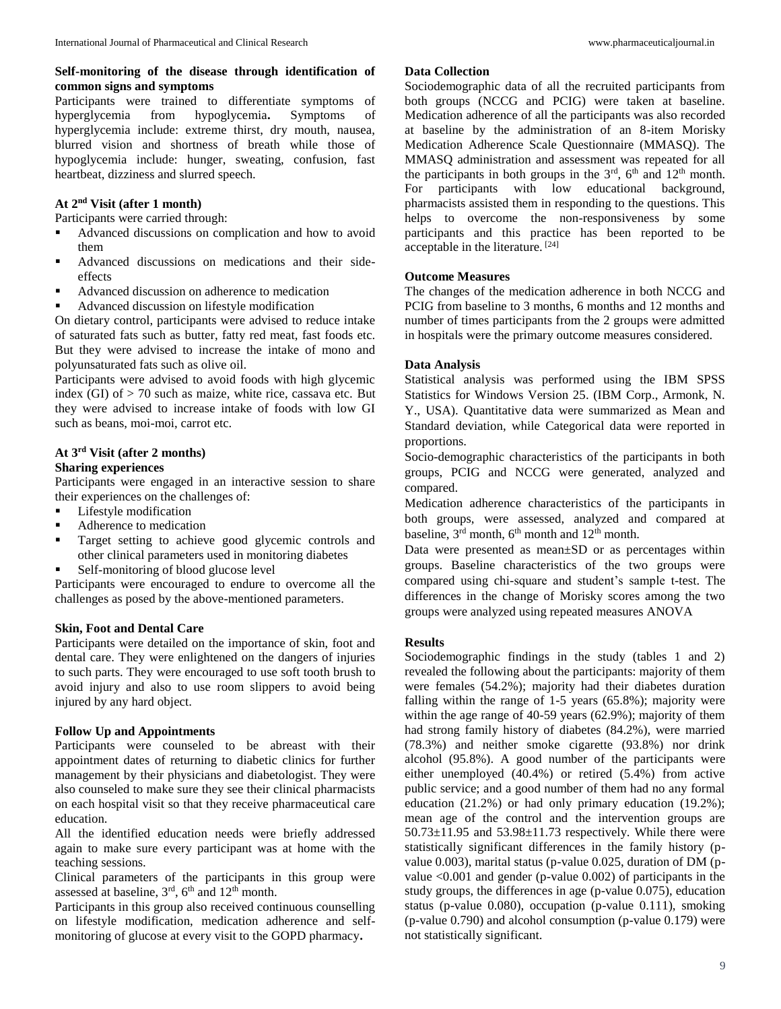# **Self-monitoring of the disease through identification of common signs and symptoms**

Participants were trained to differentiate symptoms of hyperglycemia from hypoglycemia**.** Symptoms of hyperglycemia include: extreme thirst, dry mouth, nausea, blurred vision and shortness of breath while those of hypoglycemia include: hunger, sweating, confusion, fast heartbeat, dizziness and slurred speech.

# **At 2nd Visit (after 1 month)**

Participants were carried through:

- Advanced discussions on complication and how to avoid them
- Advanced discussions on medications and their sideeffects
- Advanced discussion on adherence to medication
- Advanced discussion on lifestyle modification

On dietary control, participants were advised to reduce intake of saturated fats such as butter, fatty red meat, fast foods etc. But they were advised to increase the intake of mono and polyunsaturated fats such as olive oil.

Participants were advised to avoid foods with high glycemic index (GI) of  $> 70$  such as maize, white rice, cassava etc. But they were advised to increase intake of foods with low GI such as beans, moi-moi, carrot etc.

# **At 3rd Visit (after 2 months)**

# **Sharing experiences**

Participants were engaged in an interactive session to share their experiences on the challenges of:

- **Lifestyle modification**
- Adherence to medication
- **Target setting to achieve good glycemic controls and** other clinical parameters used in monitoring diabetes
- Self-monitoring of blood glucose level

Participants were encouraged to endure to overcome all the challenges as posed by the above-mentioned parameters.

# **Skin, Foot and Dental Care**

Participants were detailed on the importance of skin, foot and dental care. They were enlightened on the dangers of injuries to such parts. They were encouraged to use soft tooth brush to avoid injury and also to use room slippers to avoid being injured by any hard object.

# **Follow Up and Appointments**

Participants were counseled to be abreast with their appointment dates of returning to diabetic clinics for further management by their physicians and diabetologist. They were also counseled to make sure they see their clinical pharmacists on each hospital visit so that they receive pharmaceutical care education.

All the identified education needs were briefly addressed again to make sure every participant was at home with the teaching sessions.

Clinical parameters of the participants in this group were assessed at baseline, 3<sup>rd</sup>, 6<sup>th</sup> and 12<sup>th</sup> month.

Participants in this group also received continuous counselling on lifestyle modification, medication adherence and selfmonitoring of glucose at every visit to the GOPD pharmacy**.**

#### **Data Collection**

Sociodemographic data of all the recruited participants from both groups (NCCG and PCIG) were taken at baseline. Medication adherence of all the participants was also recorded at baseline by the administration of an 8-item Morisky Medication Adherence Scale Questionnaire (MMASQ). The MMASQ administration and assessment was repeated for all the participants in both groups in the  $3<sup>rd</sup>$ , 6<sup>th</sup> and 12<sup>th</sup> month. For participants with low educational background, pharmacists assisted them in responding to the questions. This helps to overcome the non-responsiveness by some participants and this practice has been reported to be acceptable in the literature. [24]

# **Outcome Measures**

The changes of the medication adherence in both NCCG and PCIG from baseline to 3 months, 6 months and 12 months and number of times participants from the 2 groups were admitted in hospitals were the primary outcome measures considered.

# **Data Analysis**

Statistical analysis was performed using the IBM SPSS Statistics for Windows Version 25. (IBM Corp., Armonk, N. Y., USA). Quantitative data were summarized as Mean and Standard deviation, while Categorical data were reported in proportions.

Socio-demographic characteristics of the participants in both groups, PCIG and NCCG were generated, analyzed and compared.

Medication adherence characteristics of the participants in both groups, were assessed, analyzed and compared at baseline,  $3<sup>rd</sup>$  month,  $6<sup>th</sup>$  month and  $12<sup>th</sup>$  month.

Data were presented as mean±SD or as percentages within groups. Baseline characteristics of the two groups were compared using chi-square and student's sample t-test. The differences in the change of Morisky scores among the two groups were analyzed using repeated measures ANOVA

# **Results**

Sociodemographic findings in the study (tables 1 and 2) revealed the following about the participants: majority of them were females (54.2%); majority had their diabetes duration falling within the range of 1-5 years (65.8%); majority were within the age range of 40-59 years (62.9%); majority of them had strong family history of diabetes (84.2%), were married (78.3%) and neither smoke cigarette (93.8%) nor drink alcohol (95.8%). A good number of the participants were either unemployed (40.4%) or retired (5.4%) from active public service; and a good number of them had no any formal education (21.2%) or had only primary education (19.2%); mean age of the control and the intervention groups are  $50.73 \pm 11.95$  and  $53.98 \pm 11.73$  respectively. While there were statistically significant differences in the family history (pvalue 0.003), marital status (p-value 0.025, duration of DM (pvalue <0.001 and gender (p-value 0.002) of participants in the study groups, the differences in age (p-value 0.075), education status (p-value 0.080), occupation (p-value 0.111), smoking (p-value 0.790) and alcohol consumption (p-value 0.179) were not statistically significant.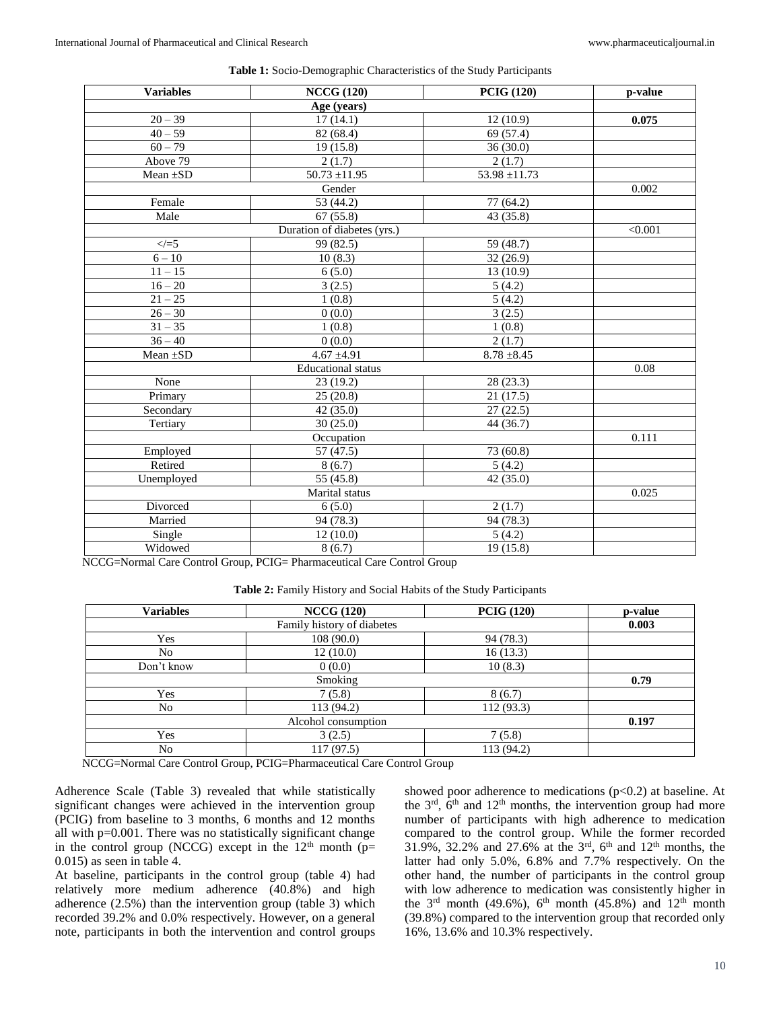| <b>Variables</b> | <b>NCCG (120)</b>           | <b>PCIG (120)</b> | p-value |
|------------------|-----------------------------|-------------------|---------|
|                  | Age (years)                 |                   |         |
| $20 - 39$        | 17(14.1)                    | 12(10.9)          | 0.075   |
| $40 - 59$        | 82 (68.4)                   | 69 (57.4)         |         |
| $60 - 79$        | 19(15.8)                    | 36 (30.0)         |         |
| Above 79         | 2(1.7)                      | 2(1.7)            |         |
| Mean $\pm SD$    | $50.73 \pm 11.95$           | $53.98 \pm 11.73$ |         |
|                  | Gender                      |                   | 0.002   |
| Female           | 53 (44.2)                   | 77 (64.2)         |         |
| Male             | 67(55.8)                    | 43 (35.8)         |         |
|                  | Duration of diabetes (yrs.) |                   | < 0.001 |
| $\le$ / $=$ 5    | 99 (82.5)                   | 59 (48.7)         |         |
| $6 - 10$         | 10(8.3)                     | 32 (26.9)         |         |
| $11 - 15$        | 6(5.0)                      | 13 (10.9)         |         |
| $16 - 20$        | 3(2.5)                      | 5(4.2)            |         |
| $21 - 25$        | 1(0.8)                      | 5(4.2)            |         |
| $26 - 30$        | 0(0.0)                      | 3(2.5)            |         |
| $31 - 35$        | 1(0.8)                      | 1(0.8)            |         |
| $36 - 40$        | 0(0.0)                      | 2(1.7)            |         |
| Mean $\pm SD$    | $4.67 \pm 4.91$             | $8.78 \pm 8.45$   |         |
|                  | <b>Educational</b> status   |                   | 0.08    |
| None             | 23(19.2)                    | 28 (23.3)         |         |
| Primary          | $\overline{25}$ (20.8)      | 21(17.5)          |         |
| Secondary        | 42 (35.0)                   | 27(22.5)          |         |
| Tertiary         | 30(25.0)                    | 44 (36.7)         |         |
|                  | Occupation                  |                   | 0.111   |
| Employed         | 57 (47.5)                   | 73 (60.8)         |         |
| Retired          | 8(6.7)                      | 5(4.2)            |         |
| Unemployed       | 55 (45.8)                   | 42 (35.0)         |         |
|                  | Marital status              |                   | 0.025   |
| Divorced         | 6(5.0)                      | 2(1.7)            |         |
| Married          | 94 (78.3)                   | 94 (78.3)         |         |
| Single           | 12(10.0)                    | 5(4.2)            |         |
| Widowed          | 8(6.7)                      | 19(15.8)          |         |

**Table 1:** Socio-Demographic Characteristics of the Study Participants

NCCG=Normal Care Control Group, PCIG= Pharmaceutical Care Control Group

**Table 2:** Family History and Social Habits of the Study Participants

| <b>Variables</b> | <b>NCCG (120)</b>          | <b>PCIG (120)</b> | p-value |
|------------------|----------------------------|-------------------|---------|
|                  | Family history of diabetes |                   | 0.003   |
| Yes              | 108(90.0)                  | 94 (78.3)         |         |
| No               | 12(10.0)                   | 16(13.3)          |         |
| Don't know       | 0(0.0)                     | 10(8.3)           |         |
|                  | Smoking                    |                   | 0.79    |
| Yes              | 7(5.8)                     | 8(6.7)            |         |
| No               | 113 (94.2)                 | 112 (93.3)        |         |
|                  | Alcohol consumption        |                   | 0.197   |
| Yes              | 3(2.5)                     | 7(5.8)            |         |
| No               | 117(97.5)                  | 113 (94.2)        |         |

NCCG=Normal Care Control Group, PCIG=Pharmaceutical Care Control Group

Adherence Scale (Table 3) revealed that while statistically significant changes were achieved in the intervention group (PCIG) from baseline to 3 months, 6 months and 12 months all with p=0.001. There was no statistically significant change in the control group (NCCG) except in the  $12<sup>th</sup>$  month (p= 0.015) as seen in table 4.

At baseline, participants in the control group (table 4) had relatively more medium adherence (40.8%) and high adherence (2.5%) than the intervention group (table 3) which recorded 39.2% and 0.0% respectively. However, on a general note, participants in both the intervention and control groups

showed poor adherence to medications  $(p<0.2)$  at baseline. At the  $3<sup>rd</sup>$ ,  $6<sup>th</sup>$  and  $12<sup>th</sup>$  months, the intervention group had more number of participants with high adherence to medication compared to the control group. While the former recorded 31.9%, 32.2% and 27.6% at the  $3<sup>rd</sup>$ , 6<sup>th</sup> and 12<sup>th</sup> months, the latter had only 5.0%, 6.8% and 7.7% respectively. On the other hand, the number of participants in the control group with low adherence to medication was consistently higher in the  $3<sup>rd</sup>$  month (49.6%), 6<sup>th</sup> month (45.8%) and  $12<sup>th</sup>$  month (39.8%) compared to the intervention group that recorded only 16%, 13.6% and 10.3% respectively.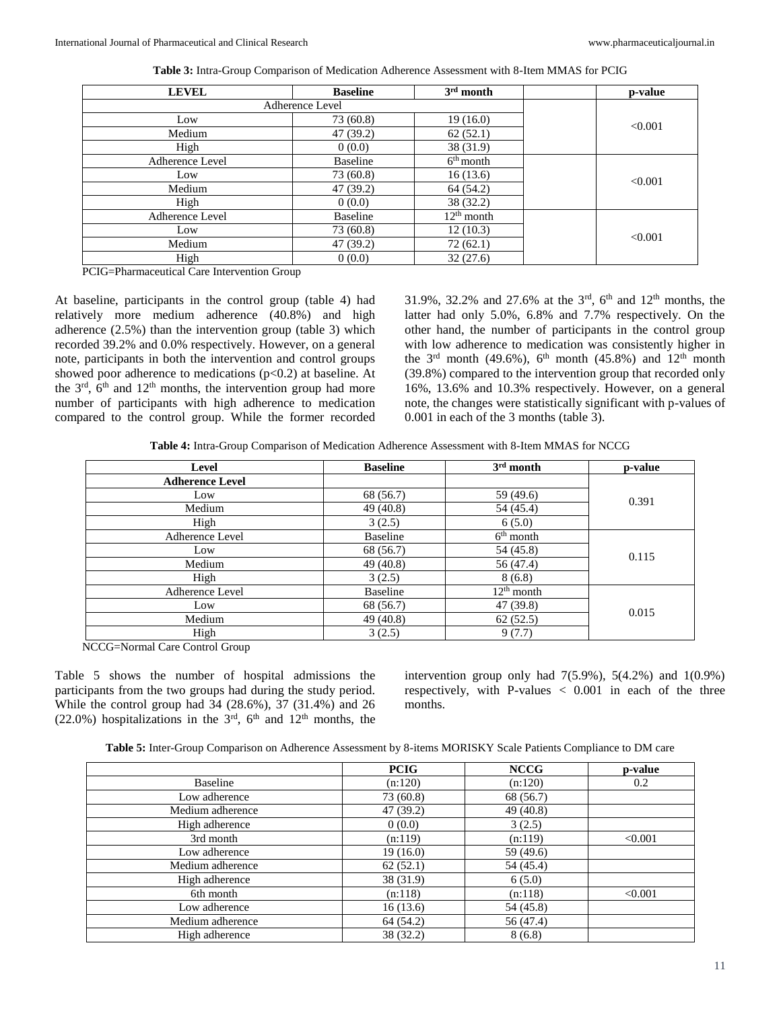| <b>LEVEL</b>                                               | <b>Baseline</b> | $3rd$ month  | p-value |
|------------------------------------------------------------|-----------------|--------------|---------|
|                                                            | Adherence Level |              |         |
| Low                                                        | 73 (60.8)       | 19(16.0)     | < 0.001 |
| Medium                                                     | 47 (39.2)       | 62(52.1)     |         |
| High                                                       | 0(0.0)          | 38 (31.9)    |         |
| Adherence Level                                            | Baseline        | $6th$ month  |         |
| Low                                                        | 73 (60.8)       | 16(13.6)     | < 0.001 |
| Medium                                                     | 47 (39.2)       | 64 (54.2)    |         |
| High                                                       | 0(0.0)          | 38 (32.2)    |         |
| Adherence Level                                            | Baseline        | $12th$ month |         |
| Low                                                        | 73 (60.8)       | 12(10.3)     | < 0.001 |
| Medium                                                     | 47 (39.2)       | 72(62.1)     |         |
| High                                                       | 0(0.0)          | 32(27.6)     |         |
| -----<br>$\sim$ $\sim$<br>$\cdot$ $\cdot$ $\sim$<br>$\sim$ |                 |              |         |

**Table 3:** Intra-Group Comparison of Medication Adherence Assessment with 8-Item MMAS for PCIG

PCIG=Pharmaceutical Care Intervention Group

At baseline, participants in the control group (table 4) had relatively more medium adherence (40.8%) and high adherence (2.5%) than the intervention group (table 3) which recorded 39.2% and 0.0% respectively. However, on a general note, participants in both the intervention and control groups showed poor adherence to medications  $(p<0.2)$  at baseline. At the  $3<sup>rd</sup>$ ,  $6<sup>th</sup>$  and  $12<sup>th</sup>$  months, the intervention group had more number of participants with high adherence to medication compared to the control group. While the former recorded

31.9%, 32.2% and 27.6% at the  $3<sup>rd</sup>$ , 6<sup>th</sup> and 12<sup>th</sup> months, the latter had only 5.0%, 6.8% and 7.7% respectively. On the other hand, the number of participants in the control group with low adherence to medication was consistently higher in the  $3<sup>rd</sup>$  month (49.6%), 6<sup>th</sup> month (45.8%) and  $12<sup>th</sup>$  month (39.8%) compared to the intervention group that recorded only 16%, 13.6% and 10.3% respectively. However, on a general note, the changes were statistically significant with p-values of 0.001 in each of the 3 months (table 3).

**Table 4:** Intra-Group Comparison of Medication Adherence Assessment with 8-Item MMAS for NCCG

| <b>Level</b>           | <b>Baseline</b> | $3rd$ month  | p-value |
|------------------------|-----------------|--------------|---------|
| <b>Adherence Level</b> |                 |              |         |
| Low                    | 68 (56.7)       | 59 (49.6)    | 0.391   |
| Medium                 | 49 (40.8)       | 54 (45.4)    |         |
| High                   | 3(2.5)          | 6(5.0)       |         |
| Adherence Level        | Baseline        | $6th$ month  |         |
| Low                    | 68 (56.7)       | 54 (45.8)    | 0.115   |
| Medium                 | 49(40.8)        | 56 (47.4)    |         |
| High                   | 3(2.5)          | 8(6.8)       |         |
| Adherence Level        | <b>Baseline</b> | $12th$ month |         |
| Low                    | 68 (56.7)       | 47 (39.8)    | 0.015   |
| Medium                 | 49 (40.8)       | 62(52.5)     |         |
| High                   | 3(2.5)          | 9(7.7)       |         |

NCCG=Normal Care Control Group

Table 5 shows the number of hospital admissions the participants from the two groups had during the study period. While the control group had 34 (28.6%), 37 (31.4%) and 26 (22.0%) hospitalizations in the  $3<sup>rd</sup>$ , 6<sup>th</sup> and 12<sup>th</sup> months, the

intervention group only had  $7(5.9\%)$ ,  $5(4.2\%)$  and  $1(0.9\%)$ respectively, with P-values  $\langle 0.001 \rangle$  in each of the three months.

| <b>Table 5:</b> Inter-Group Comparison on Adherence Assessment by 8-items MORISKY Scale Patients Compliance to DM care |  |
|------------------------------------------------------------------------------------------------------------------------|--|
|------------------------------------------------------------------------------------------------------------------------|--|

|                  | <b>PCIG</b> | <b>NCCG</b> | p-value |
|------------------|-------------|-------------|---------|
| Baseline         | (n:120)     | (n:120)     | 0.2     |
| Low adherence    | 73 (60.8)   | 68 (56.7)   |         |
| Medium adherence | 47 (39.2)   | 49 (40.8)   |         |
| High adherence   | 0(0.0)      | 3(2.5)      |         |
| 3rd month        | (n:119)     | (n:119)     | < 0.001 |
| Low adherence    | 19(16.0)    | 59 (49.6)   |         |
| Medium adherence | 62(52.1)    | 54 (45.4)   |         |
| High adherence   | 38 (31.9)   | 6(5.0)      |         |
| 6th month        | (n:118)     | (n:118)     | < 0.001 |
| Low adherence    | 16(13.6)    | 54 (45.8)   |         |
| Medium adherence | 64 (54.2)   | 56 (47.4)   |         |
| High adherence   | 38 (32.2)   | 8(6.8)      |         |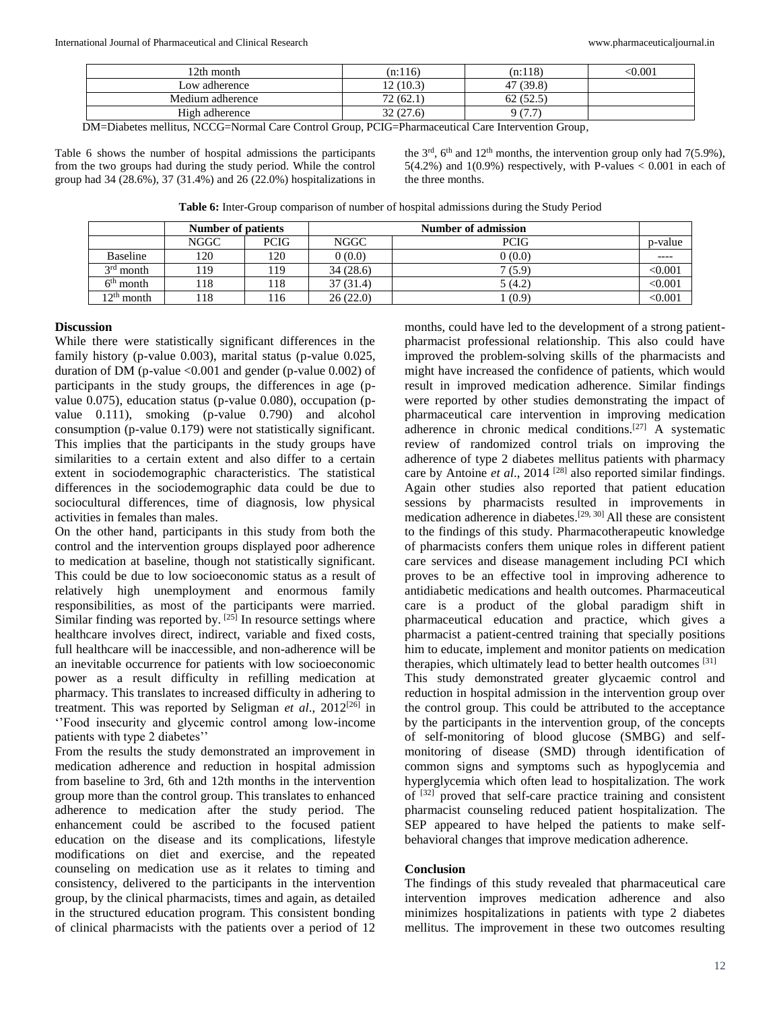| 12th month       | (n:116)  | (n:118)   | $0.001$ |
|------------------|----------|-----------|---------|
| Low adherence    | 12(10.3) | 47 (39.8) |         |
| Medium adherence | 72(62.1) | 62(52.5)  |         |
| High adherence   | 32(27.6) | Q (7      |         |
|                  |          |           |         |

DM=Diabetes mellitus, NCCG=Normal Care Control Group, PCIG=Pharmaceutical Care Intervention Group*,*

Table 6 shows the number of hospital admissions the participants from the two groups had during the study period. While the control group had 34 (28.6%), 37 (31.4%) and 26 (22.0%) hospitalizations in the  $3<sup>rd</sup>$ ,  $6<sup>th</sup>$  and  $12<sup>th</sup>$  months, the intervention group only had  $7(5.9\%)$ , 5(4.2%) and 1(0.9%) respectively, with P-values  $< 0.001$  in each of the three months.

**Table 6:** Inter-Group comparison of number of hospital admissions during the Study Period

|                        | <b>Number of patients</b> |             | Number of admission |             |         |
|------------------------|---------------------------|-------------|---------------------|-------------|---------|
|                        | NGGC                      | <b>PCIG</b> | NGGC                | <b>PCIG</b> | p-value |
| <b>Baseline</b>        | 120                       | 120         | 0(0.0)              | 0(0.0)      | ----    |
| $3rd$ month            | 119                       | 119         | 34(28.6)            | 7(5.9)      | < 0.001 |
| $6th$ month            | 118                       | l 18        | 37(31.4)            | 5(4.2)      | < 0.001 |
| 12 <sup>th</sup> month | 118                       | .16         | 26(22.0)            | (0.9)       | < 0.001 |

#### **Discussion**

While there were statistically significant differences in the family history (p-value 0.003), marital status (p-value 0.025, duration of DM (p-value  $\langle 0.001 \rangle$  and gender (p-value 0.002) of participants in the study groups, the differences in age (pvalue 0.075), education status (p-value 0.080), occupation (pvalue 0.111), smoking (p-value 0.790) and alcohol consumption (p-value 0.179) were not statistically significant. This implies that the participants in the study groups have similarities to a certain extent and also differ to a certain extent in sociodemographic characteristics. The statistical differences in the sociodemographic data could be due to sociocultural differences, time of diagnosis, low physical activities in females than males.

On the other hand, participants in this study from both the control and the intervention groups displayed poor adherence to medication at baseline, though not statistically significant. This could be due to low socioeconomic status as a result of relatively high unemployment and enormous family responsibilities, as most of the participants were married. Similar finding was reported by.  $[25]$  In resource settings where healthcare involves direct, indirect, variable and fixed costs, full healthcare will be inaccessible, and non-adherence will be an inevitable occurrence for patients with low socioeconomic power as a result difficulty in refilling medication at pharmacy. This translates to increased difficulty in adhering to treatment. This was reported by Seligman *et al*., 2012[26] in ''Food insecurity and glycemic control among low-income patients with type 2 diabetes''

From the results the study demonstrated an improvement in medication adherence and reduction in hospital admission from baseline to 3rd, 6th and 12th months in the intervention group more than the control group. This translates to enhanced adherence to medication after the study period. The enhancement could be ascribed to the focused patient education on the disease and its complications, lifestyle modifications on diet and exercise, and the repeated counseling on medication use as it relates to timing and consistency, delivered to the participants in the intervention group, by the clinical pharmacists, times and again, as detailed in the structured education program. This consistent bonding of clinical pharmacists with the patients over a period of 12

months, could have led to the development of a strong patientpharmacist professional relationship. This also could have improved the problem-solving skills of the pharmacists and might have increased the confidence of patients, which would result in improved medication adherence. Similar findings were reported by other studies demonstrating the impact of pharmaceutical care intervention in improving medication adherence in chronic medical conditions.[27] A systematic review of randomized control trials on improving the adherence of type 2 diabetes mellitus patients with pharmacy care by Antoine *et al.*, 2014<sup>[28]</sup> also reported similar findings. Again other studies also reported that patient education sessions by pharmacists resulted in improvements in medication adherence in diabetes.[29, 30] All these are consistent to the findings of this study. Pharmacotherapeutic knowledge of pharmacists confers them unique roles in different patient care services and disease management including PCI which proves to be an effective tool in improving adherence to antidiabetic medications and health outcomes. Pharmaceutical care is a product of the global paradigm shift in pharmaceutical education and practice, which gives a pharmacist a patient-centred training that specially positions him to educate, implement and monitor patients on medication therapies, which ultimately lead to better health outcomes <sup>[31]</sup> This study demonstrated greater glycaemic control and reduction in hospital admission in the intervention group over the control group. This could be attributed to the acceptance by the participants in the intervention group, of the concepts of self-monitoring of blood glucose (SMBG) and selfmonitoring of disease (SMD) through identification of common signs and symptoms such as hypoglycemia and hyperglycemia which often lead to hospitalization. The work of [32] proved that self-care practice training and consistent pharmacist counseling reduced patient hospitalization. The SEP appeared to have helped the patients to make selfbehavioral changes that improve medication adherence.

#### **Conclusion**

The findings of this study revealed that pharmaceutical care intervention improves medication adherence and also minimizes hospitalizations in patients with type 2 diabetes mellitus. The improvement in these two outcomes resulting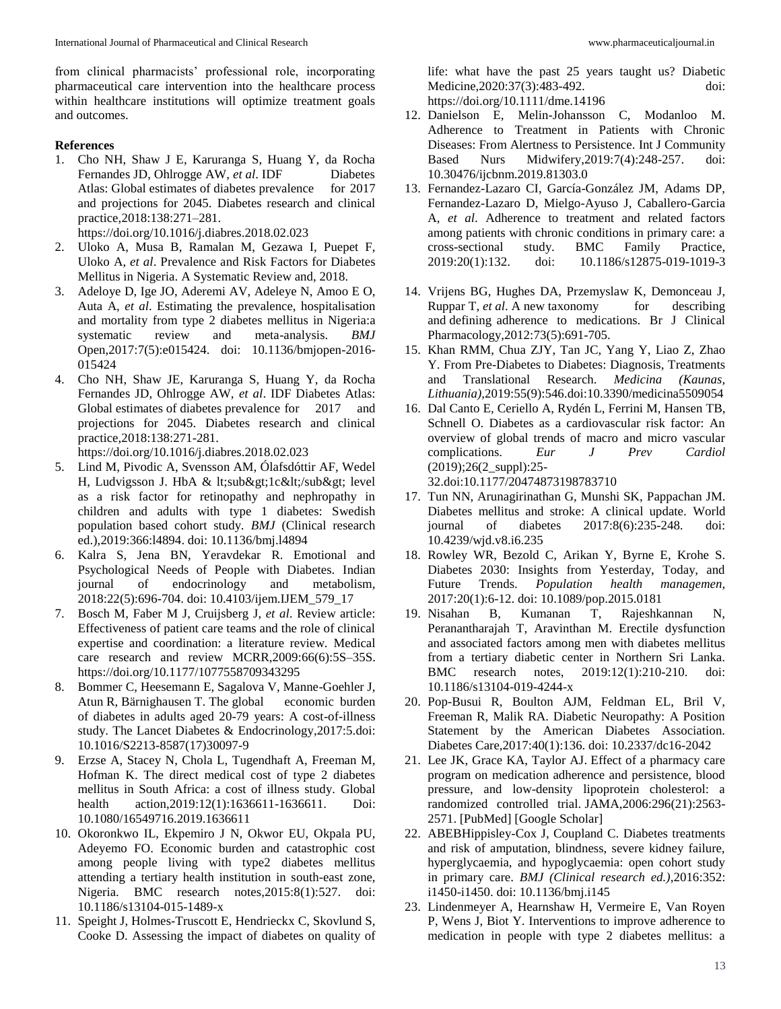from clinical pharmacists' professional role, incorporating pharmaceutical care intervention into the healthcare process within healthcare institutions will optimize treatment goals and outcomes.

# **References**

1. Cho NH, Shaw J E, Karuranga S, Huang Y, da Rocha Fernandes JD, Ohlrogge AW, *et al*. IDF Diabetes Atlas: Global estimates of diabetes prevalence for 2017 and projections for 2045. Diabetes research and clinical practice,2018:138:271–281.

https://doi.org/10.1016/j.diabres.2018.02.023

- 2. Uloko A, Musa B, Ramalan M, Gezawa I, Puepet F, Uloko A, *et al*. Prevalence and Risk Factors for Diabetes Mellitus in Nigeria. A Systematic Review and, 2018.
- 3. Adeloye D, Ige JO, Aderemi AV, Adeleye N, Amoo E O, Auta A, *et al*. Estimating the prevalence, hospitalisation and mortality from type 2 diabetes mellitus in Nigeria:a systematic review and meta-analysis. *BMJ*  Open,2017:7(5):e015424. doi: 10.1136/bmjopen-2016- 015424
- 4. Cho NH, Shaw JE, Karuranga S, Huang Y, da Rocha Fernandes JD, Ohlrogge AW, *et al*. IDF Diabetes Atlas: Global estimates of diabetes prevalence for 2017 and projections for 2045. Diabetes research and clinical practice,2018:138:271-281.

https://doi.org/10.1016/j.diabres.2018.02.023 5. Lind M, Pivodic A, Svensson AM, Ólafsdóttir AF, Wedel

- H, Ludvigsson J. HbA & lt;sub>1c</sub&gt; level as a risk factor for retinopathy and nephropathy in children and adults with type 1 diabetes: Swedish population based cohort study. *BMJ* (Clinical research ed.),2019:366:l4894. doi: 10.1136/bmj.l4894
- 6. Kalra S, Jena BN, Yeravdekar R. Emotional and Psychological Needs of People with Diabetes. Indian journal of endocrinology and metabolism*,*  2018:22(5):696-704. doi: 10.4103/ijem.IJEM\_579\_17
- 7. Bosch M, Faber M J, Cruijsberg J, *et al*. Review article: Effectiveness of patient care teams and the role of clinical expertise and coordination: a literature review. Medical care research and review MCRR,2009:66(6):5S–35S. https://doi.org/10.1177/1077558709343295
- 8. Bommer C, Heesemann E, Sagalova V, Manne-Goehler J, Atun R, Bärnighausen T. The global economic burden of diabetes in adults aged 20-79 years: A cost-of-illness study. The Lancet Diabetes & Endocrinology,2017:5.doi: 10.1016/S2213-8587(17)30097-9
- 9. Erzse A, Stacey N, Chola L, Tugendhaft A, Freeman M, Hofman K. The direct medical cost of type 2 diabetes mellitus in South Africa: a cost of illness study. Global health action, 2019:12(1):1636611-1636611. Doi: 10.1080/16549716.2019.1636611
- 10. Okoronkwo IL, Ekpemiro J N, Okwor EU, Okpala PU, Adeyemo FO. Economic burden and catastrophic cost among people living with type2 diabetes mellitus attending a tertiary health institution in south-east zone, Nigeria. BMC research notes*,*2015:8(1):527. doi: 10.1186/s13104-015-1489-x
- 11. Speight J, Holmes-Truscott E, Hendrieckx C, Skovlund S, Cooke D. Assessing the impact of diabetes on quality of

life: what have the past 25 years taught us? Diabetic Medicine, 2020: 37(3): 483-492. doi: https://doi.org/10.1111/dme.14196

- 12. Danielson E, Melin-Johansson C, Modanloo M. Adherence to Treatment in Patients with Chronic Diseases: From Alertness to Persistence. Int J Community Based Nurs Midwifery,2019:7(4):248-257. doi: 10.30476/ijcbnm.2019.81303.0
- 13. Fernandez-Lazaro CI, García-González JM, Adams DP, Fernandez-Lazaro D, Mielgo-Ayuso J, Caballero-Garcia A, *et al*. Adherence to treatment and related factors among patients with chronic conditions in primary care: a cross-sectional study. BMC Family Practice, 2019:20(1):132. doi: 10.1186/s12875-019-1019-3
- 14. Vrijens BG, Hughes DA, Przemyslaw K, Demonceau J, Ruppar T, *et al.* A new taxonomy for describing and defining adherence to medications. Br J Clinical Pharmacology,2012:73(5):691-705.
- 15. Khan RMM, Chua ZJY, Tan JC, Yang Y, Liao Z, Zhao Y. From Pre-Diabetes to Diabetes: Diagnosis, Treatments and Translational Research. *Medicina (Kaunas, Lithuania),*2019:55(9):546.doi:10.3390/medicina5509054
- 16. Dal Canto E, Ceriello A, Rydén L, Ferrini M, Hansen TB, Schnell O. Diabetes as a cardiovascular risk factor: An overview of global trends of macro and micro vascular complications. *Eur J Prev Cardiol* (2019);26(2\_suppl):25-

32.doi:10.1177/20474873198783710

- 17. Tun NN, Arunagirinathan G, Munshi SK, Pappachan JM. Diabetes mellitus and stroke: A clinical update. World journal of diabetes 2017:8(6):235-248. doi: 10.4239/wjd.v8.i6.235
- 18. Rowley WR, Bezold C, Arikan Y, Byrne E, Krohe S. Diabetes 2030: Insights from Yesterday, Today, and Future Trends. *Population health managemen,* 2017:20(1):6-12. doi: 10.1089/pop.2015.0181
- 19. Nisahan B, Kumanan T, Rajeshkannan N, Peranantharajah T, Aravinthan M. Erectile dysfunction and associated factors among men with diabetes mellitus from a tertiary diabetic center in Northern Sri Lanka. BMC research notes, 2019:12(1):210-210. doi: 10.1186/s13104-019-4244-x
- 20. Pop-Busui R, Boulton AJM, Feldman EL, Bril V, Freeman R, Malik RA. Diabetic Neuropathy: A Position Statement by the American Diabetes Association. Diabetes Care,2017:40(1):136. doi: 10.2337/dc16-2042
- 21. Lee JK, Grace KA, Taylor AJ. Effect of a pharmacy care program on medication adherence and persistence, blood pressure, and low-density lipoprotein cholesterol: a randomized controlled trial. JAMA,2006:296(21):2563- 2571. [PubMed] [Google Scholar]
- 22. ABEBHippisley-Cox J, Coupland C. Diabetes treatments and risk of amputation, blindness, severe kidney failure, hyperglycaemia, and hypoglycaemia: open cohort study in primary care. *BMJ (Clinical research ed.)*,2016:352: i1450-i1450. doi: 10.1136/bmj.i145
- 23. Lindenmeyer A, Hearnshaw H, Vermeire E, Van Royen P, Wens J, Biot Y. Interventions to improve adherence to medication in people with type 2 diabetes mellitus: a